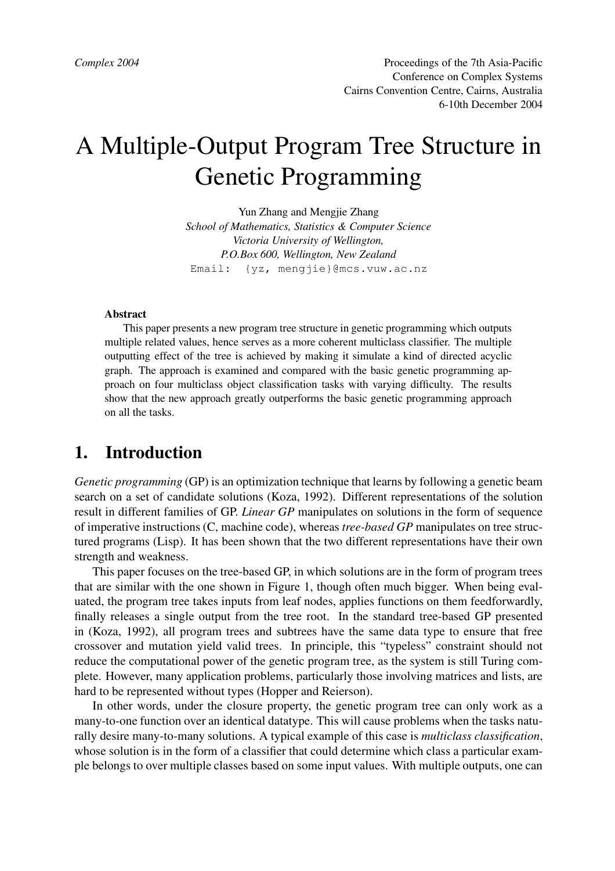# A Multiple-Output Program Tree Structure in Genetic Programming

Yun Zhang and Mengjie Zhang *School of Mathematics, Statistics & Computer Science Victoria University of Wellington, P.O.Box 600, Wellington, New Zealand* Email: {yz, mengjie}@mcs.vuw.ac.nz

#### **Abstract**

This paper presents a new program tree structure in genetic programming which outputs multiple related values, hence serves as a more coherent multiclass classifier. The multiple outputting effect of the tree is achieved by making it simulate a kind of directed acyclic graph. The approach is examined and compared with the basic genetic programming approach on four multiclass object classification tasks with varying difficulty. The results show that the new approach greatly outperforms the basic genetic programming approach on all the tasks.

### **1. Introduction**

*Genetic programming* (GP) is an optimization technique that learns by following a genetic beam search on a set of candidate solutions (Koza, 1992). Different representations of the solution result in different families of GP. *Linear GP* manipulates on solutions in the form of sequence of imperative instructions (C, machine code), whereas *tree-based GP* manipulates on tree structured programs (Lisp). It has been shown that the two different representations have their own strength and weakness.

This paper focuses on the tree-based GP, in which solutions are in the form of program trees that are similar with the one shown in Figure 1, though often much bigger. When being evaluated, the program tree takes inputs from leaf nodes, applies functions on them feedforwardly, finally releases a single output from the tree root. In the standard tree-based GP presented in (Koza, 1992), all program trees and subtrees have the same data type to ensure that free crossover and mutation yield valid trees. In principle, this "typeless" constraint should not reduce the computational power of the genetic program tree, as the system is still Turing complete. However, many application problems, particularly those involving matrices and lists, are hard to be represented without types (Hopper and Reierson).

In other words, under the closure property, the genetic program tree can only work as a many-to-one function over an identical datatype. This will cause problems when the tasks naturally desire many-to-many solutions. A typical example of this case is *multiclass classification*, whose solution is in the form of a classifier that could determine which class a particular example belongs to over multiple classes based on some input values. With multiple outputs, one can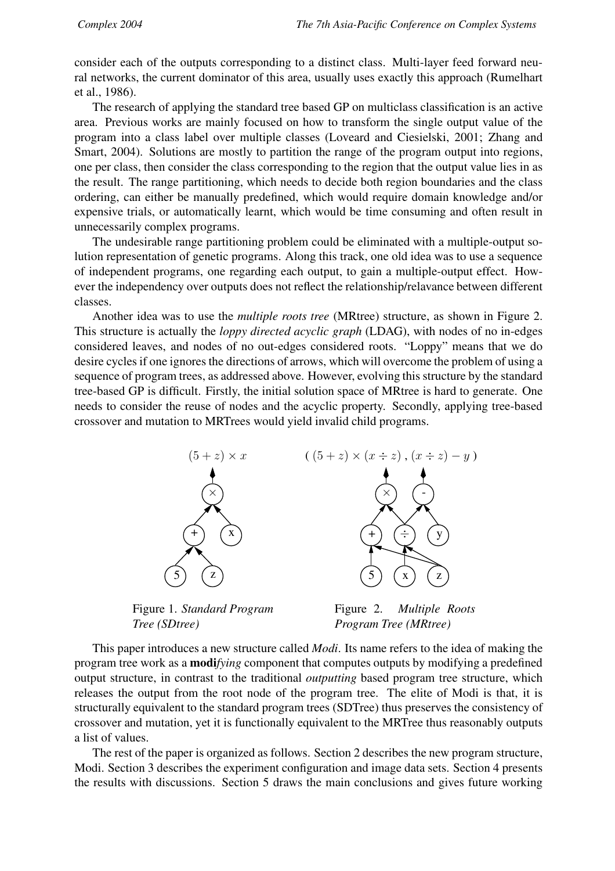consider each of the outputs corresponding to a distinct class. Multi-layer feed forward neural networks, the current dominator of this area, usually uses exactly this approach (Rumelhart et al., 1986).

The research of applying the standard tree based GP on multiclass classification is an active area. Previous works are mainly focused on how to transform the single output value of the program into a class label over multiple classes (Loveard and Ciesielski, 2001; Zhang and Smart, 2004). Solutions are mostly to partition the range of the program output into regions, one per class, then consider the class corresponding to the region that the output value lies in as the result. The range partitioning, which needs to decide both region boundaries and the class ordering, can either be manually predefined, which would require domain knowledge and/or expensive trials, or automatically learnt, which would be time consuming and often result in unnecessarily complex programs.

The undesirable range partitioning problem could be eliminated with a multiple-output solution representation of genetic programs. Along this track, one old idea was to use a sequence of independent programs, one regarding each output, to gain a multiple-output effect. However the independency over outputs does not reflect the relationship/relavance between different classes.

Another idea was to use the *multiple roots tree* (MRtree) structure, as shown in Figure 2. This structure is actually the *loppy directed acyclic graph* (LDAG), with nodes of no in-edges considered leaves, and nodes of no out-edges considered roots. "Loppy" means that we do desire cycles if one ignores the directions of arrows, which will overcome the problem of using a sequence of program trees, as addressed above. However, evolving this structure by the standard tree-based GP is difficult. Firstly, the initial solution space of MRtree is hard to generate. One needs to consider the reuse of nodes and the acyclic property. Secondly, applying tree-based crossover and mutation to MRTrees would yield invalid child programs.



Figure 1. *Standard Program Tree (SDtree)*

Figure 2. *Multiple Roots Program Tree (MRtree)*

This paper introduces a new structure called *Modi*. Its name refers to the idea of making the program tree work as a **modi***fying* component that computes outputs by modifying a predefined output structure, in contrast to the traditional *outputting* based program tree structure, which releases the output from the root node of the program tree. The elite of Modi is that, it is structurally equivalent to the standard program trees (SDTree) thus preserves the consistency of crossover and mutation, yet it is functionally equivalent to the MRTree thus reasonably outputs a list of values.

The rest of the paper is organized as follows. Section 2 describes the new program structure, Modi. Section 3 describes the experiment configuration and image data sets. Section 4 presents the results with discussions. Section 5 draws the main conclusions and gives future working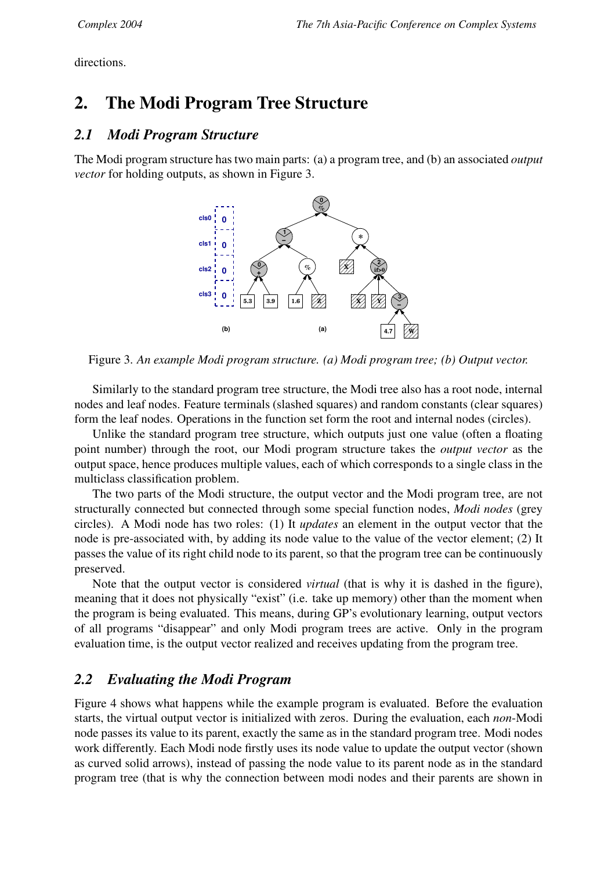directions.

# **2. The Modi Program Tree Structure**

#### *2.1 Modi Program Structure*

The Modi program structure has two main parts: (a) a program tree, and (b) an associated *output vector* for holding outputs, as shown in Figure 3.



Figure 3. *An example Modi program structure. (a) Modi program tree; (b) Output vector.*

Similarly to the standard program tree structure, the Modi tree also has a root node, internal nodes and leaf nodes. Feature terminals (slashed squares) and random constants (clear squares) form the leaf nodes. Operations in the function set form the root and internal nodes (circles).

Unlike the standard program tree structure, which outputs just one value (often a floating point number) through the root, our Modi program structure takes the *output vector* as the output space, hence produces multiple values, each of which corresponds to a single class in the multiclass classification problem.

The two parts of the Modi structure, the output vector and the Modi program tree, are not structurally connected but connected through some special function nodes, *Modi nodes* (grey circles). A Modi node has two roles: (1) It *updates* an element in the output vector that the node is pre-associated with, by adding its node value to the value of the vector element; (2) It passes the value of its right child node to its parent, so that the program tree can be continuously preserved.

Note that the output vector is considered *virtual* (that is why it is dashed in the figure), meaning that it does not physically "exist" (i.e. take up memory) other than the moment when the program is being evaluated. This means, during GP's evolutionary learning, output vectors of all programs "disappear" and only Modi program trees are active. Only in the program evaluation time, is the output vector realized and receives updating from the program tree.

### *2.2 Evaluating the Modi Program*

Figure 4 shows what happens while the example program is evaluated. Before the evaluation starts, the virtual output vector is initialized with zeros. During the evaluation, each *non*-Modi node passes its value to its parent, exactly the same as in the standard program tree. Modi nodes work differently. Each Modi node firstly uses its node value to update the output vector (shown as curved solid arrows), instead of passing the node value to its parent node as in the standard program tree (that is why the connection between modi nodes and their parents are shown in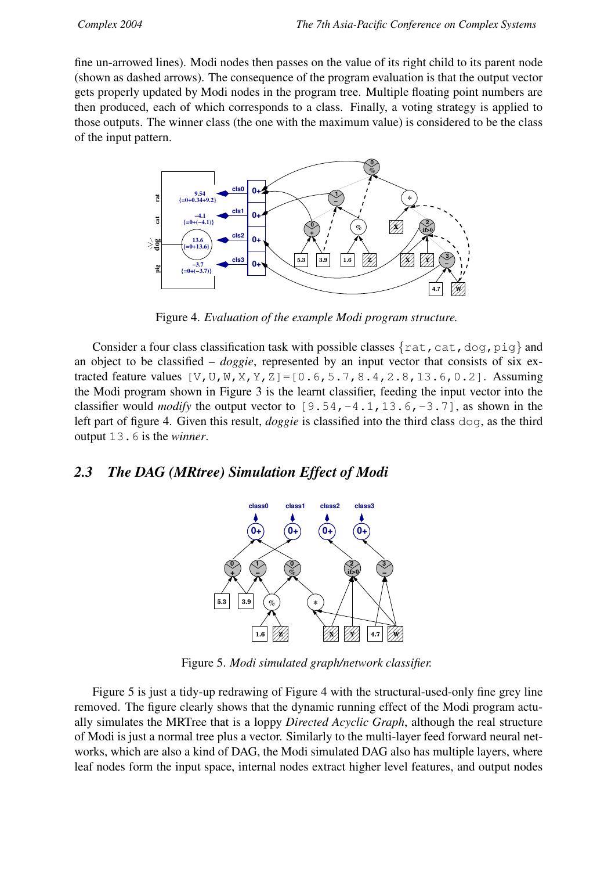fine un-arrowed lines). Modi nodes then passes on the value of its right child to its parent node (shown as dashed arrows). The consequence of the program evaluation is that the output vector gets properly updated by Modi nodes in the program tree. Multiple floating point numbers are then produced, each of which corresponds to a class. Finally, a voting strategy is applied to those outputs. The winner class (the one with the maximum value) is considered to be the class of the input pattern.



Figure 4. *Evaluation of the example Modi program structure.*

Consider a four class classification task with possible classes  $\{rat, cat,doq,pid\}$  and an object to be classified – *doggie*, represented by an input vector that consists of six extracted feature values  $[V, U, W, X, Y, Z] = [0.6, 5.7, 8.4, 2.8, 13.6, 0.2]$ . Assuming the Modi program shown in Figure 3 is the learnt classifier, feeding the input vector into the classifier would *modify* the output vector to  $[9.54, -4.1, 13.6, -3.7]$ , as shown in the left part of figure 4. Given this result, *doggie* is classified into the third class dog, as the third output 13.6 is the *winner*.

#### *2.3 The DAG (MRtree) Simulation Effect of Modi*



Figure 5. *Modi simulated graph/network classifier.*

Figure 5 is just a tidy-up redrawing of Figure 4 with the structural-used-only fine grey line removed. The figure clearly shows that the dynamic running effect of the Modi program actually simulates the MRTree that is a loppy *Directed Acyclic Graph*, although the real structure of Modi is just a normal tree plus a vector. Similarly to the multi-layer feed forward neural networks, which are also a kind of DAG, the Modi simulated DAG also has multiple layers, where leaf nodes form the input space, internal nodes extract higher level features, and output nodes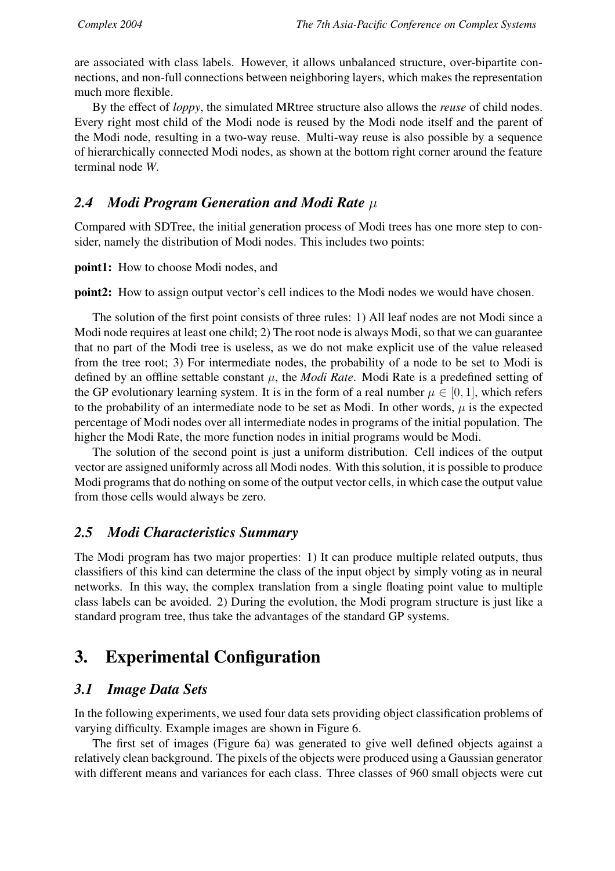are associated with class labels. However, it allows unbalanced structure, over-bipartite connections, and non-full connections between neighboring layers, which makes the representation much more flexible.

By the effect of *loppy*, the simulated MRtree structure also allows the *reuse* of child nodes. Every right most child of the Modi node is reused by the Modi node itself and the parent of the Modi node, resulting in a two-way reuse. Multi-way reuse is also possible by a sequence of hierarchically connected Modi nodes, as shown at the bottom right corner around the feature terminal node *W*.

### *2.4 Modi Program Generation and Modi Rate* µ

Compared with SDTree, the initial generation process of Modi trees has one more step to consider, namely the distribution of Modi nodes. This includes two points:

**point1:** How to choose Modi nodes, and

**point2:** How to assign output vector's cell indices to the Modi nodes we would have chosen.

The solution of the first point consists of three rules: 1) All leaf nodes are not Modi since a Modi node requires at least one child; 2) The root node is always Modi, so that we can guarantee that no part of the Modi tree is useless, as we do not make explicit use of the value released from the tree root; 3) For intermediate nodes, the probability of a node to be set to Modi is defined by an offline settable constant  $\mu$ , the *Modi Rate*. Modi Rate is a predefined setting of the GP evolutionary learning system. It is in the form of a real number  $\mu \in [0, 1]$ , which refers to the probability of an intermediate node to be set as Modi. In other words,  $\mu$  is the expected percentage of Modi nodes over all intermediate nodes in programs of the initial population. The higher the Modi Rate, the more function nodes in initial programs would be Modi.

The solution of the second point is just a uniform distribution. Cell indices of the output vector are assigned uniformly across all Modi nodes. With this solution, it is possible to produce Modi programs that do nothing on some of the output vector cells, in which case the output value from those cells would always be zero.

### *2.5 Modi Characteristics Summary*

The Modi program has two major properties: 1) It can produce multiple related outputs, thus classifiers of this kind can determine the class of the input object by simply voting as in neural networks. In this way, the complex translation from a single floating point value to multiple class labels can be avoided. 2) During the evolution, the Modi program structure is just like a standard program tree, thus take the advantages of the standard GP systems.

# **3. Experimental Configuration**

### *3.1 Image Data Sets*

In the following experiments, we used four data sets providing object classification problems of varying difficulty. Example images are shown in Figure 6.

The first set of images (Figure 6a) was generated to give well defined objects against a relatively clean background. The pixels of the objects were produced using a Gaussian generator with different means and variances for each class. Three classes of 960 small objects were cut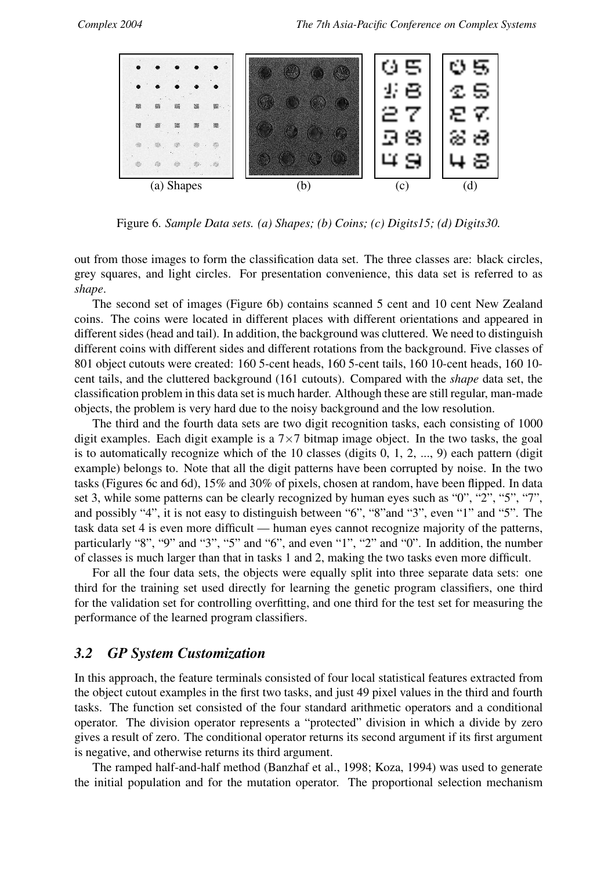

Figure 6. *Sample Data sets. (a) Shapes; (b) Coins; (c) Digits15; (d) Digits30.*

out from those images to form the classification data set. The three classes are: black circles, grey squares, and light circles. For presentation convenience, this data set is referred to as *shape*.

The second set of images (Figure 6b) contains scanned 5 cent and 10 cent New Zealand coins. The coins were located in different places with different orientations and appeared in different sides (head and tail). In addition, the background was cluttered. We need to distinguish different coins with different sides and different rotations from the background. Five classes of 801 object cutouts were created: 160 5-cent heads, 160 5-cent tails, 160 10-cent heads, 160 10 cent tails, and the cluttered background (161 cutouts). Compared with the *shape* data set, the classification problem in this data set is much harder. Although these are still regular, man-made objects, the problem is very hard due to the noisy background and the low resolution.

The third and the fourth data sets are two digit recognition tasks, each consisting of 1000 digit examples. Each digit example is a  $7\times7$  bitmap image object. In the two tasks, the goal is to automatically recognize which of the 10 classes (digits 0, 1, 2, ..., 9) each pattern (digit example) belongs to. Note that all the digit patterns have been corrupted by noise. In the two tasks (Figures 6c and 6d), 15% and 30% of pixels, chosen at random, have been flipped. In data set 3, while some patterns can be clearly recognized by human eyes such as "0", "2", "5", "7", and possibly "4", it is not easy to distinguish between "6", "8"and "3", even "1" and "5". The task data set 4 is even more difficult — human eyes cannot recognize majority of the patterns, particularly "8", "9" and "3", "5" and "6", and even "1", "2" and "0". In addition, the number of classes is much larger than that in tasks 1 and 2, making the two tasks even more difficult.

For all the four data sets, the objects were equally split into three separate data sets: one third for the training set used directly for learning the genetic program classifiers, one third for the validation set for controlling overfitting, and one third for the test set for measuring the performance of the learned program classifiers.

#### *3.2 GP System Customization*

In this approach, the feature terminals consisted of four local statistical features extracted from the object cutout examples in the first two tasks, and just 49 pixel values in the third and fourth tasks. The function set consisted of the four standard arithmetic operators and a conditional operator. The division operator represents a "protected" division in which a divide by zero gives a result of zero. The conditional operator returns its second argument if its first argument is negative, and otherwise returns its third argument.

The ramped half-and-half method (Banzhaf et al., 1998; Koza, 1994) was used to generate the initial population and for the mutation operator. The proportional selection mechanism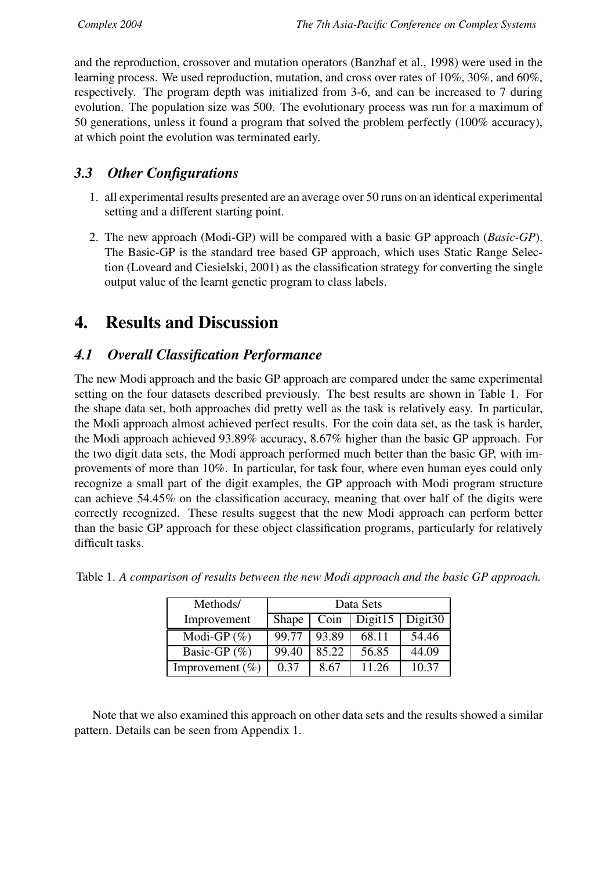and the reproduction, crossover and mutation operators (Banzhaf et al., 1998) were used in the learning process. We used reproduction, mutation, and cross over rates of 10%, 30%, and 60%, respectively. The program depth was initialized from 3-6, and can be increased to 7 during evolution. The population size was 500. The evolutionary process was run for a maximum of 50 generations, unless it found a program that solved the problem perfectly (100% accuracy), at which point the evolution was terminated early.

### *3.3 Other Configurations*

- 1. all experimental results presented are an average over 50 runs on an identical experimental setting and a different starting point.
- 2. The new approach (Modi-GP) will be compared with a basic GP approach (*Basic-GP*). The Basic-GP is the standard tree based GP approach, which uses Static Range Selection (Loveard and Ciesielski, 2001) as the classification strategy for converting the single output value of the learnt genetic program to class labels.

### **4. Results and Discussion**

#### *4.1 Overall Classification Performance*

The new Modi approach and the basic GP approach are compared under the same experimental setting on the four datasets described previously. The best results are shown in Table 1. For the shape data set, both approaches did pretty well as the task is relatively easy. In particular, the Modi approach almost achieved perfect results. For the coin data set, as the task is harder, the Modi approach achieved 93.89% accuracy, 8.67% higher than the basic GP approach. For the two digit data sets, the Modi approach performed much better than the basic GP, with improvements of more than 10%. In particular, for task four, where even human eyes could only recognize a small part of the digit examples, the GP approach with Modi program structure can achieve 54.45% on the classification accuracy, meaning that over half of the digits were correctly recognized. These results suggest that the new Modi approach can perform better than the basic GP approach for these object classification programs, particularly for relatively difficult tasks.

| Methods/            | Data Sets    |       |         |            |  |  |  |
|---------------------|--------------|-------|---------|------------|--|--|--|
| Improvement         | <b>Shape</b> | Coin  | Digit15 | Digit $30$ |  |  |  |
| Modi-GP $(\%)$      | 99.77        | 93.89 | 68.11   | 54.46      |  |  |  |
| Basic-GP $(\% )$    | 99.40        | 85.22 | 56.85   | 44.09      |  |  |  |
| Improvement $(\% )$ | በ 37         | 8.67  | 11.26   | 10.37      |  |  |  |

|  |  |  |  |  | Table 1. A comparison of results between the new Modi approach and the basic GP approach. |  |  |
|--|--|--|--|--|-------------------------------------------------------------------------------------------|--|--|
|--|--|--|--|--|-------------------------------------------------------------------------------------------|--|--|

Note that we also examined this approach on other data sets and the results showed a similar pattern. Details can be seen from Appendix 1.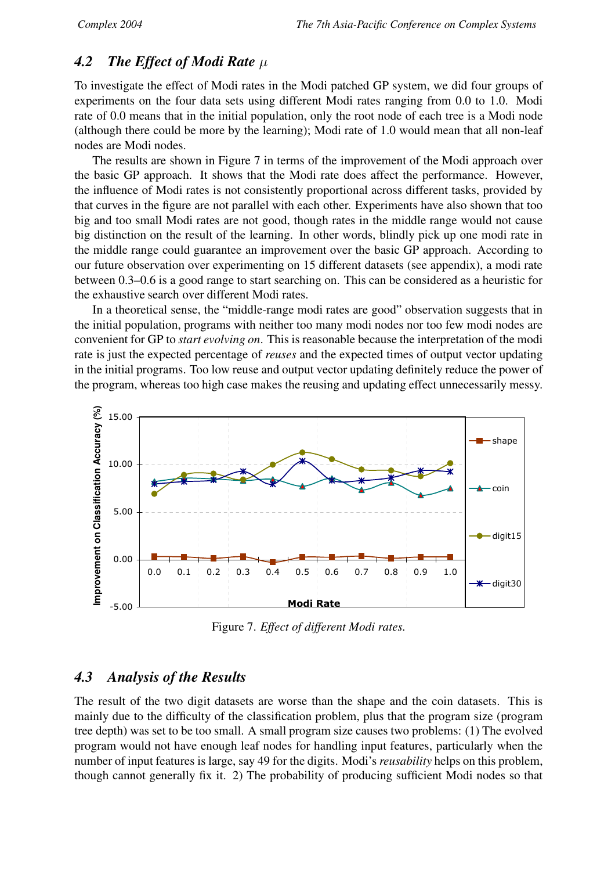### *4.2 The Effect of Modi Rate* µ

To investigate the effect of Modi rates in the Modi patched GP system, we did four groups of experiments on the four data sets using different Modi rates ranging from 0.0 to 1.0. Modi rate of 0.0 means that in the initial population, only the root node of each tree is a Modi node (although there could be more by the learning); Modi rate of 1.0 would mean that all non-leaf nodes are Modi nodes.

The results are shown in Figure 7 in terms of the improvement of the Modi approach over the basic GP approach. It shows that the Modi rate does affect the performance. However, the influence of Modi rates is not consistently proportional across different tasks, provided by that curves in the figure are not parallel with each other. Experiments have also shown that too big and too small Modi rates are not good, though rates in the middle range would not cause big distinction on the result of the learning. In other words, blindly pick up one modi rate in the middle range could guarantee an improvement over the basic GP approach. According to our future observation over experimenting on 15 different datasets (see appendix), a modi rate between 0.3–0.6 is a good range to start searching on. This can be considered as a heuristic for the exhaustive search over different Modi rates.

In a theoretical sense, the "middle-range modi rates are good" observation suggests that in the initial population, programs with neither too many modi nodes nor too few modi nodes are convenient for GP to *start evolving on*. This is reasonable because the interpretation of the modi rate is just the expected percentage of *reuses* and the expected times of output vector updating in the initial programs. Too low reuse and output vector updating definitely reduce the power of the program, whereas too high case makes the reusing and updating effect unnecessarily messy.



Figure 7. *Effect of different Modi rates.*

#### *4.3 Analysis of the Results*

The result of the two digit datasets are worse than the shape and the coin datasets. This is mainly due to the difficulty of the classification problem, plus that the program size (program tree depth) was set to be too small. A small program size causes two problems: (1) The evolved program would not have enough leaf nodes for handling input features, particularly when the number of input features is large, say 49 for the digits. Modi's *reusability* helps on this problem, though cannot generally fix it. 2) The probability of producing sufficient Modi nodes so that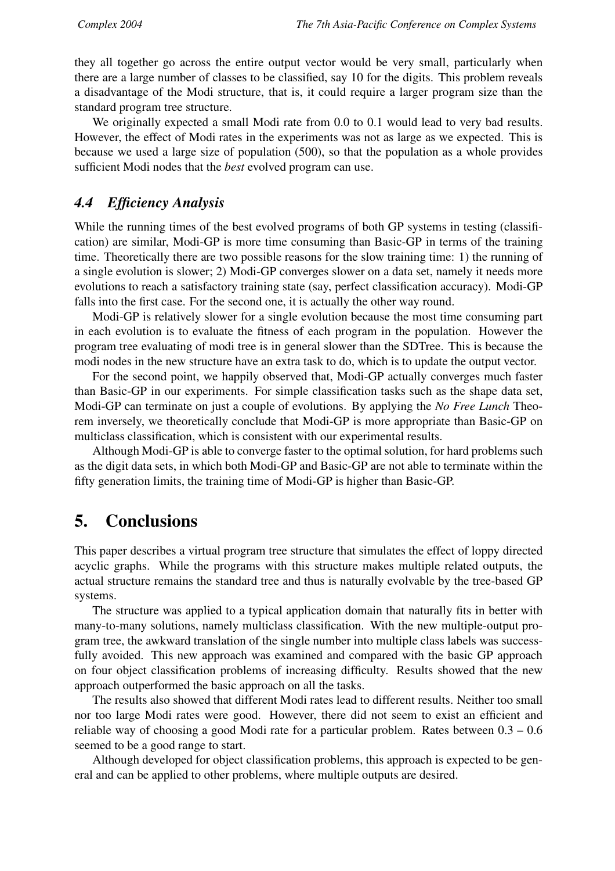they all together go across the entire output vector would be very small, particularly when there are a large number of classes to be classified, say 10 for the digits. This problem reveals a disadvantage of the Modi structure, that is, it could require a larger program size than the standard program tree structure.

We originally expected a small Modi rate from 0.0 to 0.1 would lead to very bad results. However, the effect of Modi rates in the experiments was not as large as we expected. This is because we used a large size of population (500), so that the population as a whole provides sufficient Modi nodes that the *best* evolved program can use.

#### *4.4 Efficiency Analysis*

While the running times of the best evolved programs of both GP systems in testing (classification) are similar, Modi-GP is more time consuming than Basic-GP in terms of the training time. Theoretically there are two possible reasons for the slow training time: 1) the running of a single evolution is slower; 2) Modi-GP converges slower on a data set, namely it needs more evolutions to reach a satisfactory training state (say, perfect classification accuracy). Modi-GP falls into the first case. For the second one, it is actually the other way round.

Modi-GP is relatively slower for a single evolution because the most time consuming part in each evolution is to evaluate the fitness of each program in the population. However the program tree evaluating of modi tree is in general slower than the SDTree. This is because the modi nodes in the new structure have an extra task to do, which is to update the output vector.

For the second point, we happily observed that, Modi-GP actually converges much faster than Basic-GP in our experiments. For simple classification tasks such as the shape data set, Modi-GP can terminate on just a couple of evolutions. By applying the *No Free Lunch* Theorem inversely, we theoretically conclude that Modi-GP is more appropriate than Basic-GP on multiclass classification, which is consistent with our experimental results.

Although Modi-GP is able to converge faster to the optimal solution, for hard problems such as the digit data sets, in which both Modi-GP and Basic-GP are not able to terminate within the fifty generation limits, the training time of Modi-GP is higher than Basic-GP.

### **5. Conclusions**

This paper describes a virtual program tree structure that simulates the effect of loppy directed acyclic graphs. While the programs with this structure makes multiple related outputs, the actual structure remains the standard tree and thus is naturally evolvable by the tree-based GP systems.

The structure was applied to a typical application domain that naturally fits in better with many-to-many solutions, namely multiclass classification. With the new multiple-output program tree, the awkward translation of the single number into multiple class labels was successfully avoided. This new approach was examined and compared with the basic GP approach on four object classification problems of increasing difficulty. Results showed that the new approach outperformed the basic approach on all the tasks.

The results also showed that different Modi rates lead to different results. Neither too small nor too large Modi rates were good. However, there did not seem to exist an efficient and reliable way of choosing a good Modi rate for a particular problem. Rates between 0.3 – 0.6 seemed to be a good range to start.

Although developed for object classification problems, this approach is expected to be general and can be applied to other problems, where multiple outputs are desired.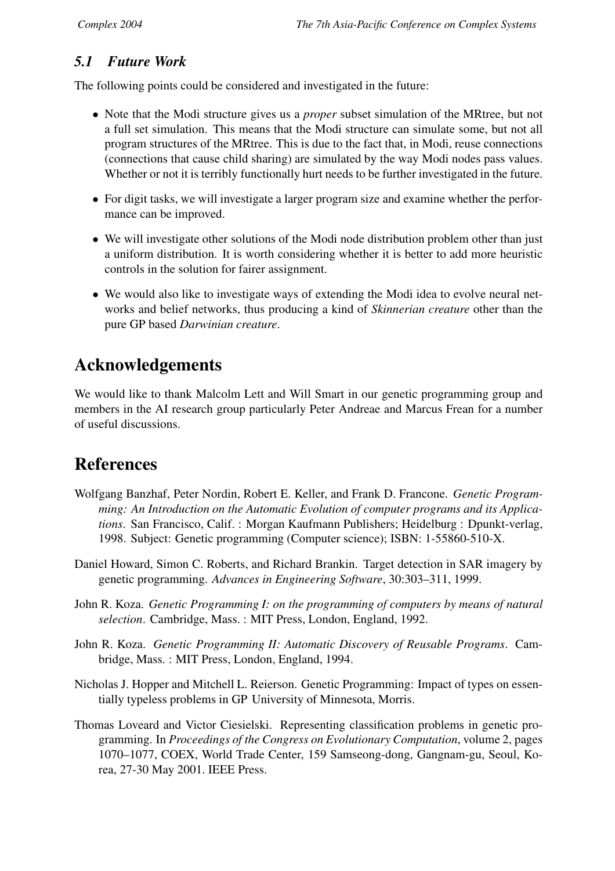### *5.1 Future Work*

The following points could be considered and investigated in the future:

- Note that the Modi structure gives us a *proper* subset simulation of the MRtree, but not a full set simulation. This means that the Modi structure can simulate some, but not all program structures of the MRtree. This is due to the fact that, in Modi, reuse connections (connections that cause child sharing) are simulated by the way Modi nodes pass values. Whether or not it is terribly functionally hurt needs to be further investigated in the future.
- For digit tasks, we will investigate a larger program size and examine whether the performance can be improved.
- We will investigate other solutions of the Modi node distribution problem other than just a uniform distribution. It is worth considering whether it is better to add more heuristic controls in the solution for fairer assignment.
- We would also like to investigate ways of extending the Modi idea to evolve neural networks and belief networks, thus producing a kind of *Skinnerian creature* other than the pure GP based *Darwinian creature*.

# **Acknowledgements**

We would like to thank Malcolm Lett and Will Smart in our genetic programming group and members in the AI research group particularly Peter Andreae and Marcus Frean for a number of useful discussions.

## **References**

- Wolfgang Banzhaf, Peter Nordin, Robert E. Keller, and Frank D. Francone. *Genetic Programming: An Introduction on the Automatic Evolution of computer programs and its Applications*. San Francisco, Calif. : Morgan Kaufmann Publishers; Heidelburg : Dpunkt-verlag, 1998. Subject: Genetic programming (Computer science); ISBN: 1-55860-510-X.
- Daniel Howard, Simon C. Roberts, and Richard Brankin. Target detection in SAR imagery by genetic programming. *Advances in Engineering Software*, 30:303–311, 1999.
- John R. Koza. *Genetic Programming I: on the programming of computers by means of natural selection*. Cambridge, Mass. : MIT Press, London, England, 1992.
- John R. Koza. *Genetic Programming II: Automatic Discovery of Reusable Programs*. Cambridge, Mass. : MIT Press, London, England, 1994.
- Nicholas J. Hopper and Mitchell L. Reierson. Genetic Programming: Impact of types on essentially typeless problems in GP University of Minnesota, Morris.
- Thomas Loveard and Victor Ciesielski. Representing classification problems in genetic programming. In *Proceedings of the Congress on Evolutionary Computation*, volume 2, pages 1070–1077, COEX, World Trade Center, 159 Samseong-dong, Gangnam-gu, Seoul, Korea, 27-30 May 2001. IEEE Press.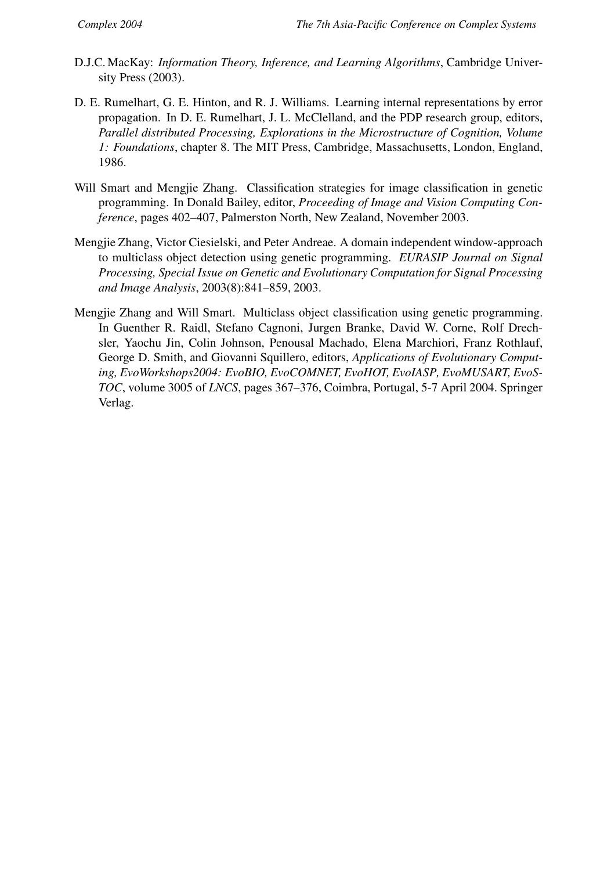- D.J.C. MacKay: *Information Theory, Inference, and Learning Algorithms*, Cambridge University Press (2003).
- D. E. Rumelhart, G. E. Hinton, and R. J. Williams. Learning internal representations by error propagation. In D. E. Rumelhart, J. L. McClelland, and the PDP research group, editors, *Parallel distributed Processing, Explorations in the Microstructure of Cognition, Volume 1: Foundations*, chapter 8. The MIT Press, Cambridge, Massachusetts, London, England, 1986.
- Will Smart and Mengjie Zhang. Classification strategies for image classification in genetic programming. In Donald Bailey, editor, *Proceeding of Image and Vision Computing Conference*, pages 402–407, Palmerston North, New Zealand, November 2003.
- Mengjie Zhang, Victor Ciesielski, and Peter Andreae. A domain independent window-approach to multiclass object detection using genetic programming. *EURASIP Journal on Signal Processing, Special Issue on Genetic and Evolutionary Computation for Signal Processing and Image Analysis*, 2003(8):841–859, 2003.
- Mengjie Zhang and Will Smart. Multiclass object classification using genetic programming. In Guenther R. Raidl, Stefano Cagnoni, Jurgen Branke, David W. Corne, Rolf Drechsler, Yaochu Jin, Colin Johnson, Penousal Machado, Elena Marchiori, Franz Rothlauf, George D. Smith, and Giovanni Squillero, editors, *Applications of Evolutionary Computing, EvoWorkshops2004: EvoBIO, EvoCOMNET, EvoHOT, EvoIASP, EvoMUSART, EvoS-TOC*, volume 3005 of *LNCS*, pages 367–376, Coimbra, Portugal, 5-7 April 2004. Springer Verlag.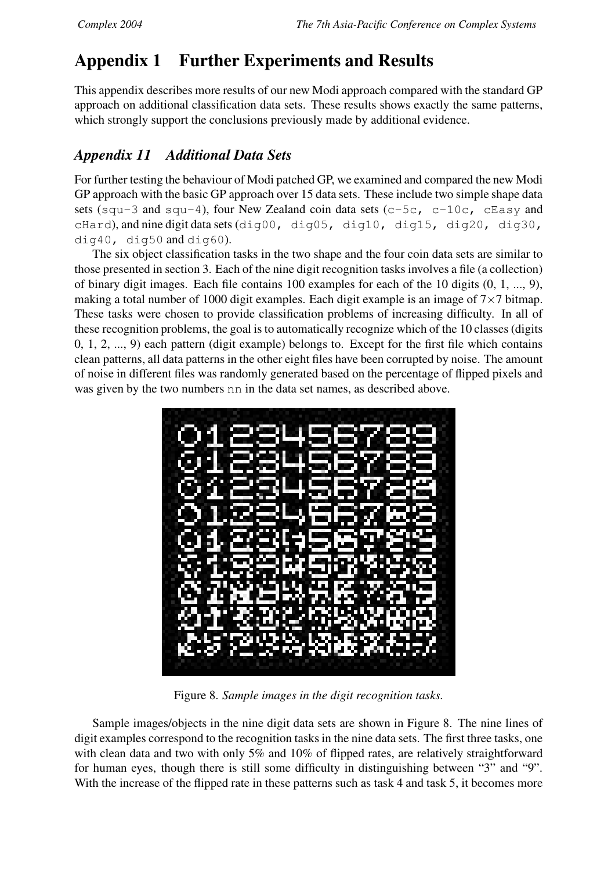# **Appendix 1 Further Experiments and Results**

This appendix describes more results of our new Modi approach compared with the standard GP approach on additional classification data sets. These results shows exactly the same patterns, which strongly support the conclusions previously made by additional evidence.

### *Appendix 11 Additional Data Sets*

For further testing the behaviour of Modi patched GP, we examined and compared the new Modi GP approach with the basic GP approach over 15 data sets. These include two simple shape data sets (squ-3 and squ-4), four New Zealand coin data sets (c-5c, c-10c, cEasy and cHard), and nine digit data sets (dig00, dig05, dig10, dig15, dig20, dig30, dig40, dig50 and dig60).

The six object classification tasks in the two shape and the four coin data sets are similar to those presented in section 3. Each of the nine digit recognition tasks involves a file (a collection) of binary digit images. Each file contains 100 examples for each of the 10 digits (0, 1, ..., 9), making a total number of 1000 digit examples. Each digit example is an image of  $7\times7$  bitmap. These tasks were chosen to provide classification problems of increasing difficulty. In all of these recognition problems, the goal isto automatically recognize which of the 10 classes (digits 0, 1, 2, ..., 9) each pattern (digit example) belongs to. Except for the first file which contains clean patterns, all data patterns in the other eight files have been corrupted by noise. The amount of noise in different files was randomly generated based on the percentage of flipped pixels and was given by the two numbers nn in the data set names, as described above.



Figure 8. *Sample images in the digit recognition tasks.*

Sample images/objects in the nine digit data sets are shown in Figure 8. The nine lines of digit examples correspond to the recognition tasks in the nine data sets. The first three tasks, one with clean data and two with only 5% and 10% of flipped rates, are relatively straightforward for human eyes, though there is still some difficulty in distinguishing between "3" and "9". With the increase of the flipped rate in these patterns such as task 4 and task 5, it becomes more